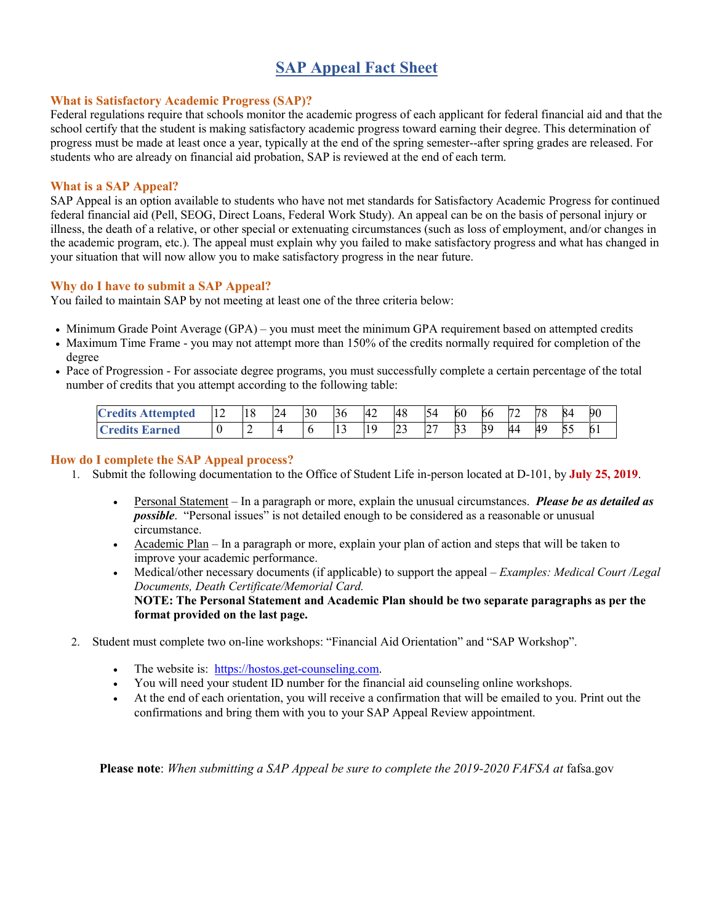# **SAP Appeal Fact Sheet**

## **What is Satisfactory Academic Progress (SAP)?**

Federal regulations require that schools monitor the academic progress of each applicant for federal financial aid and that the school certify that the student is making satisfactory academic progress toward earning their degree. This determination of progress must be made at least once a year, typically at the end of the spring semester--after spring grades are released. For students who are already on financial aid probation, SAP is reviewed at the end of each term.

## **What is a SAP Appeal?**

SAP Appeal is an option available to students who have not met standards for Satisfactory Academic Progress for continued federal financial aid (Pell, SEOG, Direct Loans, Federal Work Study). An appeal can be on the basis of personal injury or illness, the death of a relative, or other special or extenuating circumstances (such as loss of employment, and/or changes in the academic program, etc.). The appeal must explain why you failed to make satisfactory progress and what has changed in your situation that will now allow you to make satisfactory progress in the near future.

## **Why do I have to submit a SAP Appeal?**

You failed to maintain SAP by not meeting at least one of the three criteria below:

- Minimum Grade Point Average (GPA) you must meet the minimum GPA requirement based on attempted credits
- Maximum Time Frame you may not attempt more than 150% of the credits normally required for completion of the degree
- Pace of Progression For associate degree programs, you must successfully complete a certain percentage of the total number of credits that you attempt according to the following table:

| <b>Tredits Attempted</b> | $\sim$<br>14 | 18  | 24<br>تسترا | 30 | 36      | 42       | 48            | 54                 | 60 | 66 | 72 | 70 | ∽<br>xд | 90 |
|--------------------------|--------------|-----|-------------|----|---------|----------|---------------|--------------------|----|----|----|----|---------|----|
| <b>Credits Earned</b>    | ν            | . . |             |    | . L . J | 1 Q<br>. | $\sim$<br>ر ب | $\mathcal{L}$<br>∠ | 33 | 39 | 44 | 49 | よく<br>ັ | v. |

## **How do I complete the SAP Appeal process?**

- 1. Submit the following documentation to the Office of Student Life in-person located at D-101, by **July 25, 2019**.
	- Personal Statement In a paragraph or more, explain the unusual circumstances. *Please be as detailed as possible*. "Personal issues" is not detailed enough to be considered as a reasonable or unusual circumstance.
	- Academic Plan In a paragraph or more, explain your plan of action and steps that will be taken to improve your academic performance.
	- Medical/other necessary documents (if applicable) to support the appeal *Examples: Medical Court /Legal Documents, Death Certificate/Memorial Card.*  **NOTE: The Personal Statement and Academic Plan should be two separate paragraphs as per the format provided on the last page.**
- 2. Student must complete two on-line workshops: "Financial Aid Orientation" and "SAP Workshop".
	- The website is: [https://hostos.get-counseling.com.](https://hostos.get-counseling.com/)
	- You will need your student ID number for the financial aid counseling online workshops.
	- At the end of each orientation, you will receive a confirmation that will be emailed to you. Print out the confirmations and bring them with you to your SAP Appeal Review appointment.

**Please note**: *When submitting a SAP Appeal be sure to complete the 2019-2020 FAFSA at* fafsa.gov